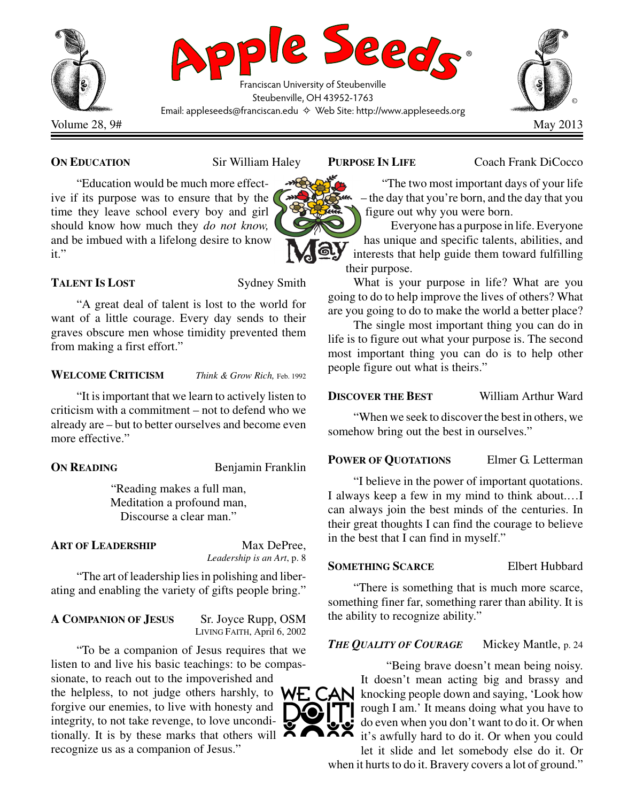

**ON EDUCATION** Sir William Haley

"Education would be much more effective if its purpose was to ensure that by the time they leave school every boy and girl should know how much they *do not know,* and be imbued with a lifelong desire to know it."

# **TALENT IS LOST** Sydney Smith

"A great deal of talent is lost to the world for want of a little courage. Every day sends to their graves obscure men whose timidity prevented them from making a first effort."

### **WELCOME CRITICISM** *Think & Grow Rich,* Feb. 1992

"It is important that we learn to actively listen to criticism with a commitment – not to defend who we already are – but to better ourselves and become even more effective."

**ON READING** Benjamin Franklin

"Reading makes a full man, Meditation a profound man, Discourse a clear man."

# **ART OF LEADERSHIP** Max DePree,

*Leadership is an Art*, p. 8

"The art of leadership lies in polishing and liberating and enabling the variety of gifts people bring."

## **A COMPANION OF JESUS** Sr. Joyce Rupp, OSM

LIVING FAITH, April 6, 2002

"To be a companion of Jesus requires that we listen to and live his basic teachings: to be compassionate, to reach out to the impoverished and

the helpless, to not judge others harshly, to  $WF$ ,  $CAN$ forgive our enemies, to live with honesty and integrity, to not take revenge, to love unconditionally. It is by these marks that others will  $\blacktriangle$ recognize us as a companion of Jesus."

**PURPOSE IN LIFE** Coach Frank DiCocco

"The two most important days of your life – the day that you're born, and the day that you figure out why you were born.

Everyone has a purpose in life. Everyone has unique and specific talents, abilities, and interests that help guide them toward fulfilling their purpose.

What is your purpose in life? What are you going to do to help improve the lives of others? What are you going to do to make the world a better place?

The single most important thing you can do in life is to figure out what your purpose is. The second most important thing you can do is to help other people figure out what is theirs."

# **DISCOVER THE BEST** William Arthur Ward

"When we seek to discover the best in others, we somehow bring out the best in ourselves."

## **POWER OF QUOTATIONS** Elmer G. Letterman

"I believe in the power of important quotations. I always keep a few in my mind to think about.…I can always join the best minds of the centuries. In their great thoughts I can find the courage to believe in the best that I can find in myself."

## **SOMETHING SCARCE** Elbert Hubbard

"There is something that is much more scarce, something finer far, something rarer than ability. It is the ability to recognize ability."

# *THE QUALITY OF COURAGE* Mickey Mantle, p. 24



"Being brave doesn't mean being noisy. It doesn't mean acting big and brassy and knocking people down and saying, 'Look how rough I am.' It means doing what you have to do even when you don't want to do it. Or when it's awfully hard to do it. Or when you could let it slide and let somebody else do it. Or when it hurts to do it. Bravery covers a lot of ground."